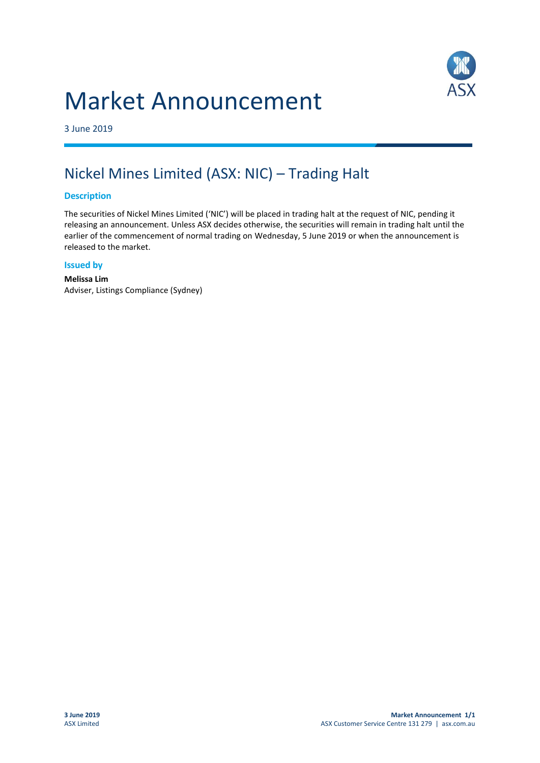# Market Announcement



3 June 2019

## Nickel Mines Limited (ASX: NIC) – Trading Halt

### **Description**

The securities of Nickel Mines Limited ('NIC') will be placed in trading halt at the request of NIC, pending it releasing an announcement. Unless ASX decides otherwise, the securities will remain in trading halt until the earlier of the commencement of normal trading on Wednesday, 5 June 2019 or when the announcement is released to the market.

#### **Issued by**

**Melissa Lim** Adviser, Listings Compliance (Sydney)